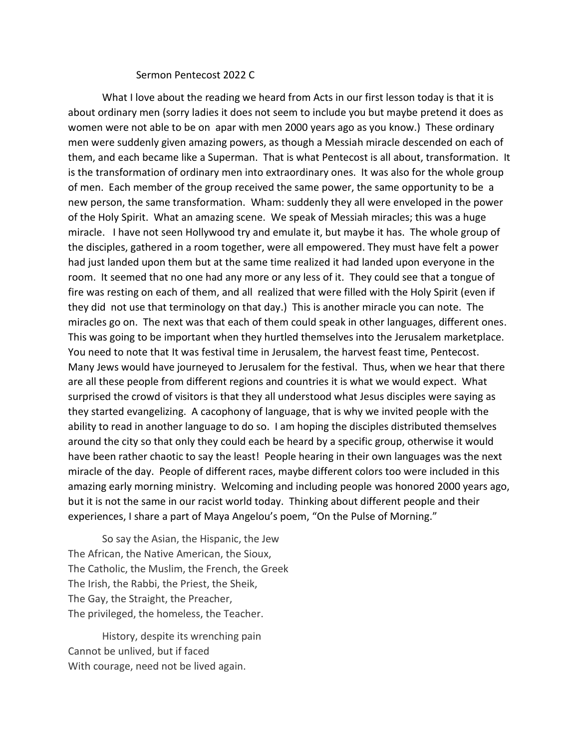## Sermon Pentecost 2022 C

What I love about the reading we heard from Acts in our first lesson today is that it is about ordinary men (sorry ladies it does not seem to include you but maybe pretend it does as women were not able to be on apar with men 2000 years ago as you know.) These ordinary men were suddenly given amazing powers, as though a Messiah miracle descended on each of them, and each became like a Superman. That is what Pentecost is all about, transformation. It is the transformation of ordinary men into extraordinary ones. It was also for the whole group of men. Each member of the group received the same power, the same opportunity to be a new person, the same transformation. Wham: suddenly they all were enveloped in the power of the Holy Spirit. What an amazing scene. We speak of Messiah miracles; this was a huge miracle. I have not seen Hollywood try and emulate it, but maybe it has. The whole group of the disciples, gathered in a room together, were all empowered. They must have felt a power had just landed upon them but at the same time realized it had landed upon everyone in the room. It seemed that no one had any more or any less of it. They could see that a tongue of fire was resting on each of them, and all realized that were filled with the Holy Spirit (even if they did not use that terminology on that day.) This is another miracle you can note. The miracles go on. The next was that each of them could speak in other languages, different ones. This was going to be important when they hurtled themselves into the Jerusalem marketplace. You need to note that It was festival time in Jerusalem, the harvest feast time, Pentecost. Many Jews would have journeyed to Jerusalem for the festival. Thus, when we hear that there are all these people from different regions and countries it is what we would expect. What surprised the crowd of visitors is that they all understood what Jesus disciples were saying as they started evangelizing. A cacophony of language, that is why we invited people with the ability to read in another language to do so. I am hoping the disciples distributed themselves around the city so that only they could each be heard by a specific group, otherwise it would have been rather chaotic to say the least! People hearing in their own languages was the next miracle of the day. People of different races, maybe different colors too were included in this amazing early morning ministry. Welcoming and including people was honored 2000 years ago, but it is not the same in our racist world today. Thinking about different people and their experiences, I share a part of Maya Angelou's poem, "On the Pulse of Morning."

So say the Asian, the Hispanic, the Jew The African, the Native American, the Sioux, The Catholic, the Muslim, the French, the Greek The Irish, the Rabbi, the Priest, the Sheik, The Gay, the Straight, the Preacher, The privileged, the homeless, the Teacher.

History, despite its wrenching pain Cannot be unlived, but if faced With courage, need not be lived again.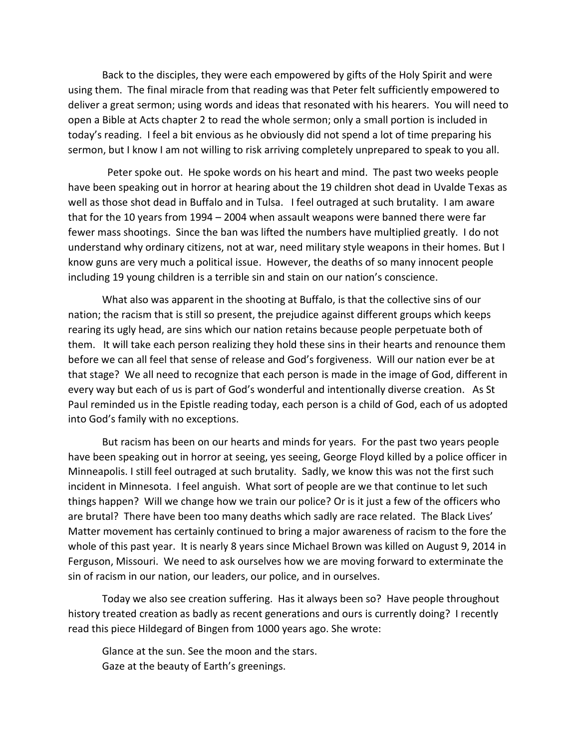Back to the disciples, they were each empowered by gifts of the Holy Spirit and were using them. The final miracle from that reading was that Peter felt sufficiently empowered to deliver a great sermon; using words and ideas that resonated with his hearers. You will need to open a Bible at Acts chapter 2 to read the whole sermon; only a small portion is included in today's reading. I feel a bit envious as he obviously did not spend a lot of time preparing his sermon, but I know I am not willing to risk arriving completely unprepared to speak to you all.

 Peter spoke out. He spoke words on his heart and mind. The past two weeks people have been speaking out in horror at hearing about the 19 children shot dead in Uvalde Texas as well as those shot dead in Buffalo and in Tulsa. I feel outraged at such brutality. I am aware that for the 10 years from 1994 – 2004 when assault weapons were banned there were far fewer mass shootings. Since the ban was lifted the numbers have multiplied greatly. I do not understand why ordinary citizens, not at war, need military style weapons in their homes. But I know guns are very much a political issue. However, the deaths of so many innocent people including 19 young children is a terrible sin and stain on our nation's conscience.

What also was apparent in the shooting at Buffalo, is that the collective sins of our nation; the racism that is still so present, the prejudice against different groups which keeps rearing its ugly head, are sins which our nation retains because people perpetuate both of them. It will take each person realizing they hold these sins in their hearts and renounce them before we can all feel that sense of release and God's forgiveness. Will our nation ever be at that stage? We all need to recognize that each person is made in the image of God, different in every way but each of us is part of God's wonderful and intentionally diverse creation. As St Paul reminded us in the Epistle reading today, each person is a child of God, each of us adopted into God's family with no exceptions.

But racism has been on our hearts and minds for years. For the past two years people have been speaking out in horror at seeing, yes seeing, George Floyd killed by a police officer in Minneapolis. I still feel outraged at such brutality. Sadly, we know this was not the first such incident in Minnesota. I feel anguish. What sort of people are we that continue to let such things happen? Will we change how we train our police? Or is it just a few of the officers who are brutal? There have been too many deaths which sadly are race related. The Black Lives' Matter movement has certainly continued to bring a major awareness of racism to the fore the whole of this past year. It is nearly 8 years since Michael Brown was killed on August 9, 2014 in Ferguson, Missouri. We need to ask ourselves how we are moving forward to exterminate the sin of racism in our nation, our leaders, our police, and in ourselves.

Today we also see creation suffering. Has it always been so? Have people throughout history treated creation as badly as recent generations and ours is currently doing? I recently read this piece Hildegard of Bingen from 1000 years ago. She wrote:

Glance at the sun. See the moon and the stars. Gaze at the beauty of Earth's greenings.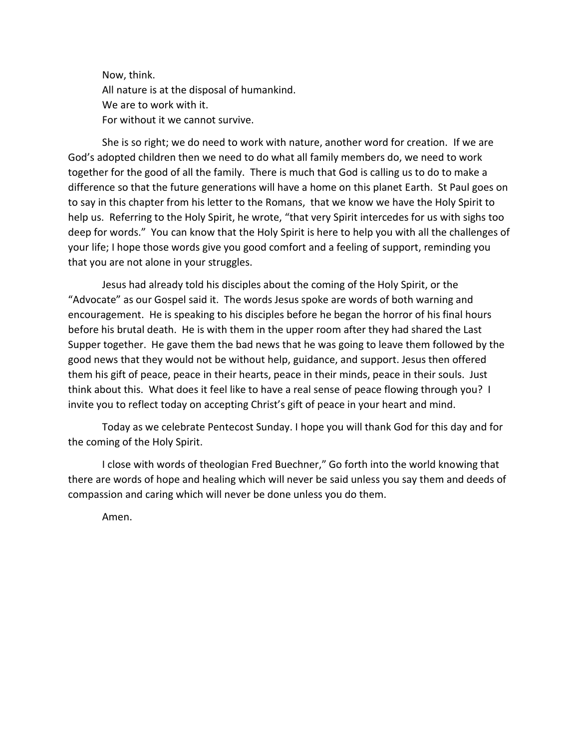Now, think. All nature is at the disposal of humankind. We are to work with it. For without it we cannot survive.

She is so right; we do need to work with nature, another word for creation. If we are God's adopted children then we need to do what all family members do, we need to work together for the good of all the family. There is much that God is calling us to do to make a difference so that the future generations will have a home on this planet Earth. St Paul goes on to say in this chapter from his letter to the Romans, that we know we have the Holy Spirit to help us. Referring to the Holy Spirit, he wrote, "that very Spirit intercedes for us with sighs too deep for words." You can know that the Holy Spirit is here to help you with all the challenges of your life; I hope those words give you good comfort and a feeling of support, reminding you that you are not alone in your struggles.

Jesus had already told his disciples about the coming of the Holy Spirit, or the "Advocate" as our Gospel said it. The words Jesus spoke are words of both warning and encouragement. He is speaking to his disciples before he began the horror of his final hours before his brutal death. He is with them in the upper room after they had shared the Last Supper together. He gave them the bad news that he was going to leave them followed by the good news that they would not be without help, guidance, and support. Jesus then offered them his gift of peace, peace in their hearts, peace in their minds, peace in their souls. Just think about this. What does it feel like to have a real sense of peace flowing through you? I invite you to reflect today on accepting Christ's gift of peace in your heart and mind.

Today as we celebrate Pentecost Sunday. I hope you will thank God for this day and for the coming of the Holy Spirit.

I close with words of theologian Fred Buechner," Go forth into the world knowing that there are words of hope and healing which will never be said unless you say them and deeds of compassion and caring which will never be done unless you do them.

Amen.